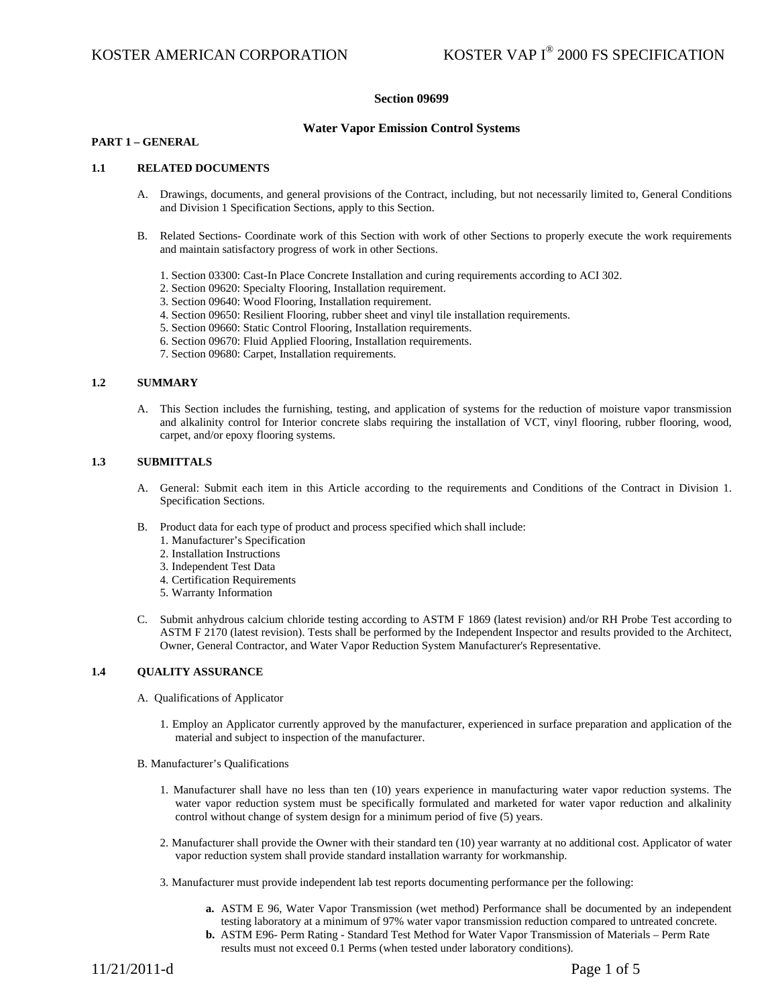## **Section 09699**

## **Water Vapor Emission Control Systems**

## **PART 1 – GENERAL**

## **1.1 RELATED DOCUMENTS**

- A. Drawings, documents, and general provisions of the Contract, including, but not necessarily limited to, General Conditions and Division 1 Specification Sections, apply to this Section.
- B. Related Sections- Coordinate work of this Section with work of other Sections to properly execute the work requirements and maintain satisfactory progress of work in other Sections.
	- 1. Section 03300: Cast-In Place Concrete Installation and curing requirements according to ACI 302.
	- 2. Section 09620: Specialty Flooring, Installation requirement.
	- 3. Section 09640: Wood Flooring, Installation requirement.
	- 4. Section 09650: Resilient Flooring, rubber sheet and vinyl tile installation requirements.
	- 5. Section 09660: Static Control Flooring, Installation requirements.
	- 6. Section 09670: Fluid Applied Flooring, Installation requirements.
	- 7. Section 09680: Carpet, Installation requirements.

### **1.2 SUMMARY**

A. This Section includes the furnishing, testing, and application of systems for the reduction of moisture vapor transmission and alkalinity control for Interior concrete slabs requiring the installation of VCT, vinyl flooring, rubber flooring, wood, carpet, and/or epoxy flooring systems.

## **1.3 SUBMITTALS**

- A. General: Submit each item in this Article according to the requirements and Conditions of the Contract in Division 1. Specification Sections.
- B. Product data for each type of product and process specified which shall include:
	- 1. Manufacturer's Specification
	- 2. Installation Instructions
	- 3. Independent Test Data
	- 4. Certification Requirements
	- 5. Warranty Information
- C. Submit anhydrous calcium chloride testing according to ASTM F 1869 (latest revision) and/or RH Probe Test according to ASTM F 2170 (latest revision). Tests shall be performed by the Independent Inspector and results provided to the Architect, Owner, General Contractor, and Water Vapor Reduction System Manufacturer's Representative.

## **1.4 QUALITY ASSURANCE**

- A. Qualifications of Applicator
	- 1. Employ an Applicator currently approved by the manufacturer, experienced in surface preparation and application of the material and subject to inspection of the manufacturer.
- B. Manufacturer's Qualifications
	- 1. Manufacturer shall have no less than ten (10) years experience in manufacturing water vapor reduction systems. The water vapor reduction system must be specifically formulated and marketed for water vapor reduction and alkalinity control without change of system design for a minimum period of five (5) years.
	- 2. Manufacturer shall provide the Owner with their standard ten (10) year warranty at no additional cost. Applicator of water vapor reduction system shall provide standard installation warranty for workmanship.
	- 3. Manufacturer must provide independent lab test reports documenting performance per the following:
		- **a.** ASTM E 96, Water Vapor Transmission (wet method) Performance shall be documented by an independent testing laboratory at a minimum of 97% water vapor transmission reduction compared to untreated concrete.
		- **b.** ASTM E96- Perm Rating Standard Test Method for Water Vapor Transmission of Materials Perm Rate results must not exceed 0.1 Perms (when tested under laboratory conditions).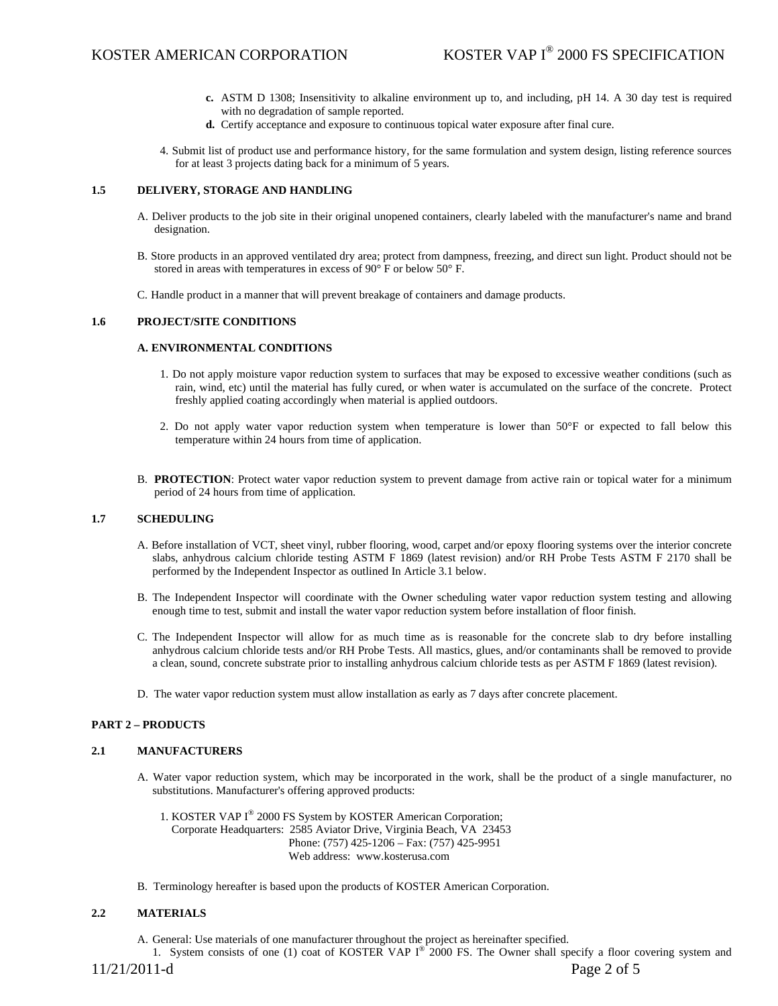- **c.** ASTM D 1308; Insensitivity to alkaline environment up to, and including, pH 14. A 30 day test is required with no degradation of sample reported.
- **d.** Certify acceptance and exposure to continuous topical water exposure after final cure.
- 4. Submit list of product use and performance history, for the same formulation and system design, listing reference sources for at least 3 projects dating back for a minimum of 5 years.

## **1.5 DELIVERY, STORAGE AND HANDLING**

- A. Deliver products to the job site in their original unopened containers, clearly labeled with the manufacturer's name and brand designation.
- B. Store products in an approved ventilated dry area; protect from dampness, freezing, and direct sun light. Product should not be stored in areas with temperatures in excess of 90° F or below 50° F.
- C. Handle product in a manner that will prevent breakage of containers and damage products.

## **1.6 PROJECT/SITE CONDITIONS**

#### **A. ENVIRONMENTAL CONDITIONS**

- 1. Do not apply moisture vapor reduction system to surfaces that may be exposed to excessive weather conditions (such as rain, wind, etc) until the material has fully cured, or when water is accumulated on the surface of the concrete. Protect freshly applied coating accordingly when material is applied outdoors.
- 2. Do not apply water vapor reduction system when temperature is lower than 50°F or expected to fall below this temperature within 24 hours from time of application.
- B. **PROTECTION**: Protect water vapor reduction system to prevent damage from active rain or topical water for a minimum period of 24 hours from time of application.

## **1.7 SCHEDULING**

- A. Before installation of VCT, sheet vinyl, rubber flooring, wood, carpet and/or epoxy flooring systems over the interior concrete slabs, anhydrous calcium chloride testing ASTM F 1869 (latest revision) and/or RH Probe Tests ASTM F 2170 shall be performed by the Independent Inspector as outlined In Article 3.1 below.
- B. The Independent Inspector will coordinate with the Owner scheduling water vapor reduction system testing and allowing enough time to test, submit and install the water vapor reduction system before installation of floor finish.
- C. The Independent Inspector will allow for as much time as is reasonable for the concrete slab to dry before installing anhydrous calcium chloride tests and/or RH Probe Tests. All mastics, glues, and/or contaminants shall be removed to provide a clean, sound, concrete substrate prior to installing anhydrous calcium chloride tests as per ASTM F 1869 (latest revision).
- D. The water vapor reduction system must allow installation as early as 7 days after concrete placement.

#### **PART 2 – PRODUCTS**

#### **2.1 MANUFACTURERS**

- A. Water vapor reduction system, which may be incorporated in the work, shall be the product of a single manufacturer, no substitutions. Manufacturer's offering approved products:
	- 1. KOSTER VAP I® 2000 FS System by KOSTER American Corporation; Corporate Headquarters: 2585 Aviator Drive, Virginia Beach, VA 23453 Phone: (757) 425-1206 – Fax: (757) 425-9951 Web address: www.kosterusa.com
- B. Terminology hereafter is based upon the products of KOSTER American Corporation.

## **2.2 MATERIALS**

A. General: Use materials of one manufacturer throughout the project as hereinafter specified.

1. System consists of one (1) coat of KOSTER VAP I<sup>®</sup> 2000 FS. The Owner shall specify a floor covering system and

11/21/2011-d Page 2 of 5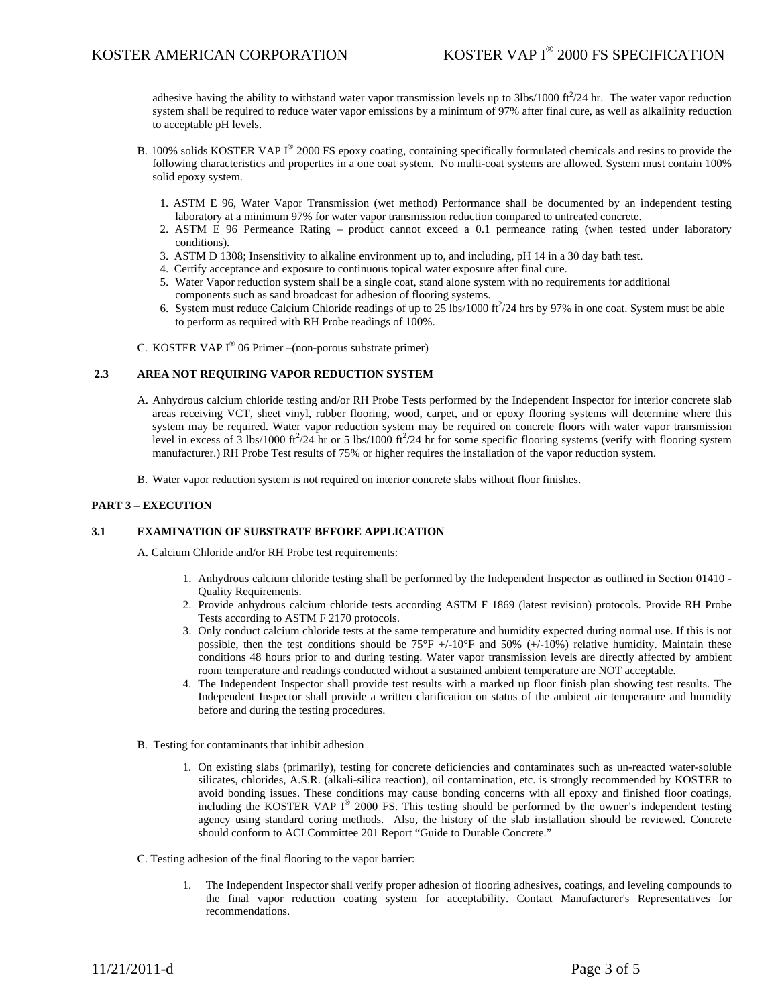adhesive having the ability to withstand water vapor transmission levels up to  $3\text{bs}/1000 \text{ ft}^2/24 \text{ hr}$ . The water vapor reduction system shall be required to reduce water vapor emissions by a minimum of 97% after final cure, as well as alkalinity reduction to acceptable pH levels.

- B. 100% solids KOSTER VAP  $I^{\circledast}$  2000 FS epoxy coating, containing specifically formulated chemicals and resins to provide the following characteristics and properties in a one coat system. No multi-coat systems are allowed. System must contain 100% solid epoxy system.
	- 1. ASTM E 96, Water Vapor Transmission (wet method) Performance shall be documented by an independent testing laboratory at a minimum 97% for water vapor transmission reduction compared to untreated concrete.
	- 2. ASTM E 96 Permeance Rating product cannot exceed a 0.1 permeance rating (when tested under laboratory conditions).
	- 3. ASTM D 1308; Insensitivity to alkaline environment up to, and including, pH 14 in a 30 day bath test.
	- 4. Certify acceptance and exposure to continuous topical water exposure after final cure.
	- 5. Water Vapor reduction system shall be a single coat, stand alone system with no requirements for additional components such as sand broadcast for adhesion of flooring systems.
	- 6. System must reduce Calcium Chloride readings of up to  $25$  lbs/1000 ft $^2$ /24 hrs by 97% in one coat. System must be able to perform as required with RH Probe readings of 100%.
- C. KOSTER VAP  $I^{\circledast}$  06 Primer –(non-porous substrate primer)

## **2.3 AREA NOT REQUIRING VAPOR REDUCTION SYSTEM**

- A. Anhydrous calcium chloride testing and/or RH Probe Tests performed by the Independent Inspector for interior concrete slab areas receiving VCT, sheet vinyl, rubber flooring, wood, carpet, and or epoxy flooring systems will determine where this system may be required. Water vapor reduction system may be required on concrete floors with water vapor transmission level in excess of  $\hat{3}$  lbs/1000 ft<sup>2</sup>/24 hr or 5 lbs/1000 ft<sup>2</sup>/24 hr for some specific flooring systems (verify with flooring system manufacturer.) RH Probe Test results of 75% or higher requires the installation of the vapor reduction system.
- B. Water vapor reduction system is not required on interior concrete slabs without floor finishes.

### **PART 3 – EXECUTION**

# **3.1 EXAMINATION OF SUBSTRATE BEFORE APPLICATION**

A. Calcium Chloride and/or RH Probe test requirements:

- 1. Anhydrous calcium chloride testing shall be performed by the Independent Inspector as outlined in Section 01410 Quality Requirements.
- 2. Provide anhydrous calcium chloride tests according ASTM F 1869 (latest revision) protocols. Provide RH Probe Tests according to ASTM F 2170 protocols.
- 3. Only conduct calcium chloride tests at the same temperature and humidity expected during normal use. If this is not possible, then the test conditions should be  $75^{\circ}F$  +/-10°F and  $50\%$  (+/-10%) relative humidity. Maintain these conditions 48 hours prior to and during testing. Water vapor transmission levels are directly affected by ambient room temperature and readings conducted without a sustained ambient temperature are NOT acceptable.
- 4. The Independent Inspector shall provide test results with a marked up floor finish plan showing test results. The Independent Inspector shall provide a written clarification on status of the ambient air temperature and humidity before and during the testing procedures.
- B. Testing for contaminants that inhibit adhesion
	- 1. On existing slabs (primarily), testing for concrete deficiencies and contaminates such as un-reacted water-soluble silicates, chlorides, A.S.R. (alkali-silica reaction), oil contamination, etc. is strongly recommended by KOSTER to avoid bonding issues. These conditions may cause bonding concerns with all epoxy and finished floor coatings, including the KOSTER VAP  $I^{\circledast}$  2000 FS. This testing should be performed by the owner's independent testing agency using standard coring methods. Also, the history of the slab installation should be reviewed. Concrete should conform to ACI Committee 201 Report "Guide to Durable Concrete."
- C. Testing adhesion of the final flooring to the vapor barrier:
	- 1. The Independent Inspector shall verify proper adhesion of flooring adhesives, coatings, and leveling compounds to the final vapor reduction coating system for acceptability. Contact Manufacturer's Representatives for recommendations.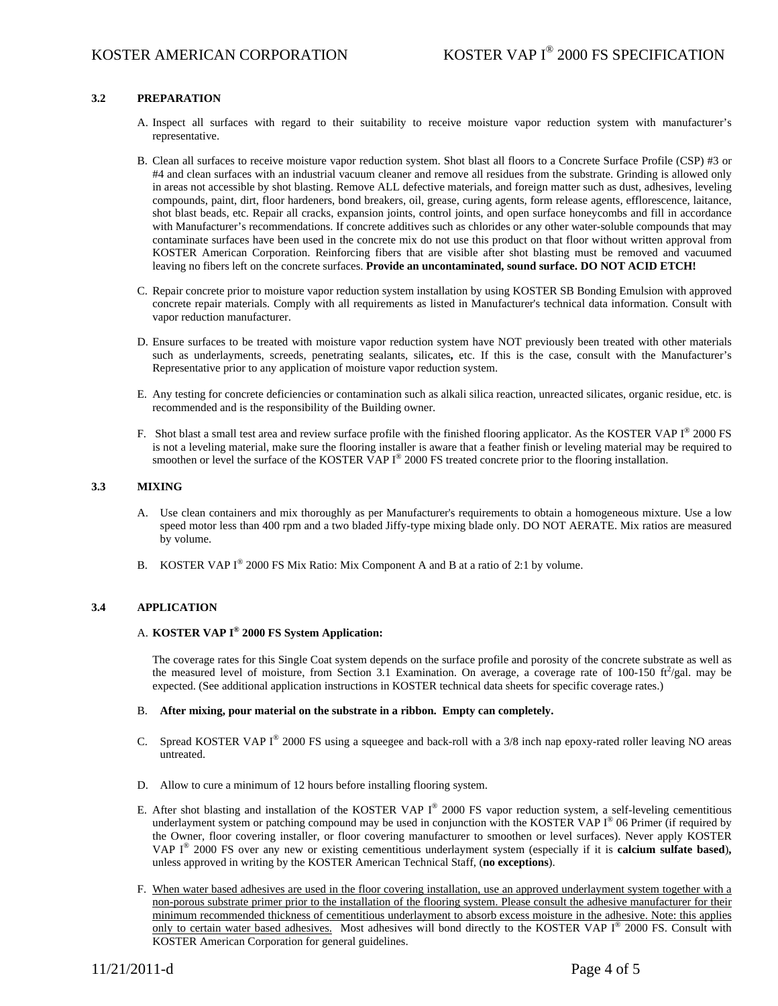# **3.2 PREPARATION**

- A. Inspect all surfaces with regard to their suitability to receive moisture vapor reduction system with manufacturer's representative.
- B. Clean all surfaces to receive moisture vapor reduction system. Shot blast all floors to a Concrete Surface Profile (CSP) #3 or #4 and clean surfaces with an industrial vacuum cleaner and remove all residues from the substrate. Grinding is allowed only in areas not accessible by shot blasting. Remove ALL defective materials, and foreign matter such as dust, adhesives, leveling compounds, paint, dirt, floor hardeners, bond breakers, oil, grease, curing agents, form release agents, efflorescence, laitance, shot blast beads, etc. Repair all cracks, expansion joints, control joints, and open surface honeycombs and fill in accordance with Manufacturer's recommendations. If concrete additives such as chlorides or any other water-soluble compounds that may contaminate surfaces have been used in the concrete mix do not use this product on that floor without written approval from KOSTER American Corporation. Reinforcing fibers that are visible after shot blasting must be removed and vacuumed leaving no fibers left on the concrete surfaces. **Provide an uncontaminated, sound surface. DO NOT ACID ETCH!**
- C. Repair concrete prior to moisture vapor reduction system installation by using KOSTER SB Bonding Emulsion with approved concrete repair materials. Comply with all requirements as listed in Manufacturer's technical data information. Consult with vapor reduction manufacturer.
- D. Ensure surfaces to be treated with moisture vapor reduction system have NOT previously been treated with other materials such as underlayments, screeds, penetrating sealants, silicates**,** etc. If this is the case, consult with the Manufacturer's Representative prior to any application of moisture vapor reduction system.
- E. Any testing for concrete deficiencies or contamination such as alkali silica reaction, unreacted silicates, organic residue, etc. is recommended and is the responsibility of the Building owner.
- F. Shot blast a small test area and review surface profile with the finished flooring applicator. As the KOSTER VAP I<sup>®</sup> 2000 FS is not a leveling material, make sure the flooring installer is aware that a feather finish or leveling material may be required to smoothen or level the surface of the KOSTER VAP  $I^{\circledast}$  2000 FS treated concrete prior to the flooring installation.

## **3.3 MIXING**

- A. Use clean containers and mix thoroughly as per Manufacturer's requirements to obtain a homogeneous mixture. Use a low speed motor less than 400 rpm and a two bladed Jiffy-type mixing blade only. DO NOT AERATE. Mix ratios are measured by volume.
- B. KOSTER VAP  $I^{\circledast}$  2000 FS Mix Ratio: Mix Component A and B at a ratio of 2:1 by volume.

## **3.4 APPLICATION**

# A. **KOSTER VAP I® 2000 FS System Application:**

The coverage rates for this Single Coat system depends on the surface profile and porosity of the concrete substrate as well as the measured level of moisture, from Section 3.1 Examination. On average, a coverage rate of 100-150  $\text{ft}^2/\text{gal}$ . may be expected. (See additional application instructions in KOSTER technical data sheets for specific coverage rates.)

## B. **After mixing, pour material on the substrate in a ribbon. Empty can completely.**

- C. Spread KOSTER VAP I® 2000 FS using a squeegee and back-roll with a 3/8 inch nap epoxy-rated roller leaving NO areas untreated.
- D. Allow to cure a minimum of 12 hours before installing flooring system.
- E. After shot blasting and installation of the KOSTER VAP  $I^{\circledast}$  2000 FS vapor reduction system, a self-leveling cementitious underlayment system or patching compound may be used in conjunction with the KOSTER VAP  $I^{\circledast}$  06 Primer (if required by the Owner, floor covering installer, or floor covering manufacturer to smoothen or level surfaces). Never apply KOSTER VAP I® 2000 FS over any new or existing cementitious underlayment system (especially if it is **calcium sulfate based**)**,** unless approved in writing by the KOSTER American Technical Staff, (**no exceptions**).
- F. When water based adhesives are used in the floor covering installation, use an approved underlayment system together with a non-porous substrate primer prior to the installation of the flooring system. Please consult the adhesive manufacturer for their minimum recommended thickness of cementitious underlayment to absorb excess moisture in the adhesive. Note: this applies only to certain water based adhesives. Most adhesives will bond directly to the KOSTER VAP I® 2000 FS. Consult with KOSTER American Corporation for general guidelines.